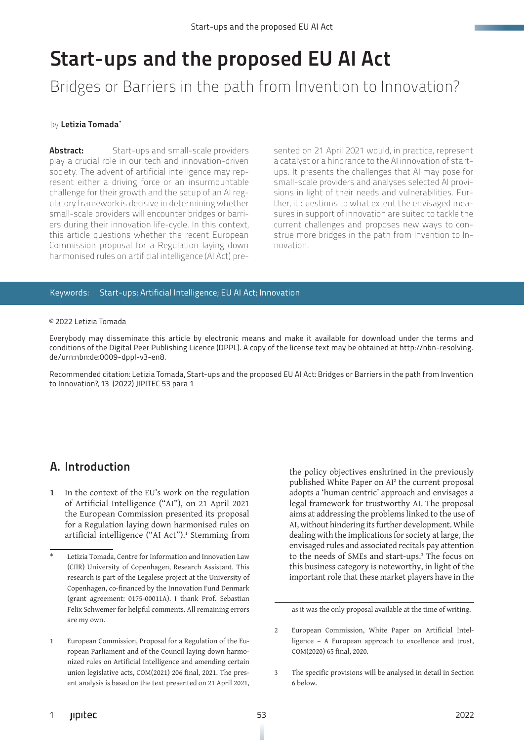# Start-ups and the proposed EU AI Act

## Bridges or Barriers in the path from Invention to Innovation?

#### by Letizia Tomada\*

**Abstract:** Start-ups and small-scale providers play a crucial role in our tech and innovation-driven society. The advent of artificial intelligence may represent either a driving force or an insurmountable challenge for their growth and the setup of an AI regulatory framework is decisive in determining whether small-scale providers will encounter bridges or barriers during their innovation life-cycle. In this context, this article questions whether the recent European Commission proposal for a Regulation laying down harmonised rules on artificial intelligence (AI Act) pre-

sented on 21 April 2021 would, in practice, represent a catalyst or a hindrance to the AI innovation of startups. It presents the challenges that AI may pose for small-scale providers and analyses selected AI provisions in light of their needs and vulnerabilities. Further, it questions to what extent the envisaged measures in support of innovation are suited to tackle the current challenges and proposes new ways to construe more bridges in the path from Invention to Innovation.

#### Keywords: Start-ups; Artificial Intelligence; EU AI Act; Innovation

#### © 2022 Letizia Tomada

Everybody may disseminate this article by electronic means and make it available for download under the terms and conditions of the Digital Peer Publishing Licence (DPPL). A copy of the license text may be obtained at http://nbn-resolving. de/urn:nbn:de:0009-dppl-v3-en8.

Recommended citation: Letizia Tomada, Start-ups and the proposed EU AI Act: Bridges or Barriers in the path from Invention to Innovation?, 13 (2022) JIPITEC 53 para 1

#### A. Introduction

**1** In the context of the EU's work on the regulation of Artificial Intelligence ("AI"), on 21 April 2021 the European Commission presented its proposal for a Regulation laying down harmonised rules on artificial intelligence ("AI Act").<sup>1</sup> Stemming from the policy objectives enshrined in the previously published White Paper on AI<sup>2</sup> the current proposal adopts a 'human centric' approach and envisages a legal framework for trustworthy AI. The proposal aims at addressing the problems linked to the use of AI, without hindering its further development. While dealing with the implications for society at large, the envisaged rules and associated recitals pay attention to the needs of SMEs and start-ups.<sup>3</sup> The focus on this business category is noteworthy, in light of the important role that these market players have in the

Letizia Tomada, Centre for Information and Innovation Law (CIIR) University of Copenhagen, Research Assistant. This research is part of the Legalese project at the University of Copenhagen, co-financed by the Innovation Fund Denmark (grant agreement: 0175-00011A). I thank Prof. Sebastian Felix Schwemer for helpful comments. All remaining errors are my own.

<sup>1</sup> European Commission, Proposal for a Regulation of the European Parliament and of the Council laying down harmonized rules on Artificial Intelligence and amending certain union legislative acts, COM(2021) 206 final, 2021. The present analysis is based on the text presented on 21 April 2021,

as it was the only proposal available at the time of writing.

<sup>2</sup> European Commission, White Paper on Artificial Intelligence – A European approach to excellence and trust, COM(2020) 65 final, 2020.

<sup>3</sup> The specific provisions will be analysed in detail in Section 6 below.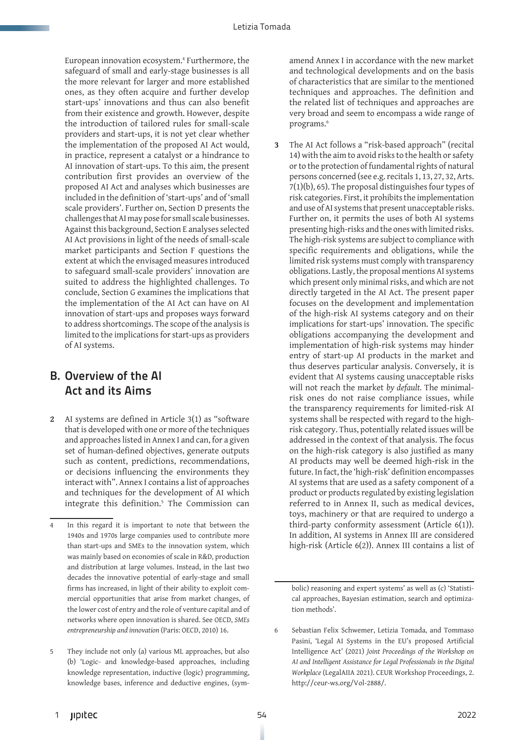European innovation ecosystem.<sup>4</sup> Furthermore, the safeguard of small and early-stage businesses is all the more relevant for larger and more established ones, as they often acquire and further develop start-ups' innovations and thus can also benefit from their existence and growth. However, despite the introduction of tailored rules for small-scale providers and start-ups, it is not yet clear whether the implementation of the proposed AI Act would, in practice, represent a catalyst or a hindrance to AI innovation of start-ups. To this aim, the present contribution first provides an overview of the proposed AI Act and analyses which businesses are included in the definition of 'start-ups' and of 'small scale providers'. Further on, Section D presents the challenges that AI may pose for small scale businesses. Against this background, Section E analyses selected AI Act provisions in light of the needs of small-scale market participants and Section F questions the extent at which the envisaged measures introduced to safeguard small-scale providers' innovation are suited to address the highlighted challenges. To conclude, Section G examines the implications that the implementation of the AI Act can have on AI innovation of start-ups and proposes ways forward to address shortcomings. The scope of the analysis is limited to the implications for start-ups as providers of AI systems.

#### B. Overview of the AI Act and its Aims

**2** AI systems are defined in Article 3(1) as "software that is developed with one or more of the techniques and approaches listed in Annex I and can, for a given set of human-defined objectives, generate outputs such as content, predictions, recommendations, or decisions influencing the environments they interact with". Annex I contains a list of approaches and techniques for the development of AI which integrate this definition.<sup>5</sup> The Commission can amend Annex I in accordance with the new market and technological developments and on the basis of characteristics that are similar to the mentioned techniques and approaches. The definition and the related list of techniques and approaches are very broad and seem to encompass a wide range of programs.<sup>6</sup>

**3** The AI Act follows a "risk-based approach" (recital 14) with the aim to avoid risks to the health or safety or to the protection of fundamental rights of natural persons concerned (see e.g. recitals 1, 13, 27, 32, Arts. 7(1)(b), 65). The proposal distinguishes four types of risk categories. First, it prohibits the implementation and use of AI systems that present unacceptable risks. Further on, it permits the uses of both AI systems presenting high-risks and the ones with limited risks. The high-risk systems are subject to compliance with specific requirements and obligations, while the limited risk systems must comply with transparency obligations. Lastly, the proposal mentions AI systems which present only minimal risks, and which are not directly targeted in the AI Act. The present paper focuses on the development and implementation of the high-risk AI systems category and on their implications for start-ups' innovation. The specific obligations accompanying the development and implementation of high-risk systems may hinder entry of start-up AI products in the market and thus deserves particular analysis. Conversely, it is evident that AI systems causing unacceptable risks will not reach the market *by default.* The minimalrisk ones do not raise compliance issues, while the transparency requirements for limited-risk AI systems shall be respected with regard to the highrisk category. Thus, potentially related issues will be addressed in the context of that analysis. The focus on the high-risk category is also justified as many AI products may well be deemed high-risk in the future. In fact, the 'high-risk' definition encompasses AI systems that are used as a safety component of a product or products regulated by existing legislation referred to in Annex II, such as medical devices, toys, machinery or that are required to undergo a third-party conformity assessment (Article 6(1)). In addition, AI systems in Annex III are considered high-risk (Article 6(2)). Annex III contains a list of

<sup>4</sup> In this regard it is important to note that between the 1940s and 1970s large companies used to contribute more than start-ups and SMEs to the innovation system, which was mainly based on economies of scale in R&D, production and distribution at large volumes. Instead, in the last two decades the innovative potential of early-stage and small firms has increased, in light of their ability to exploit commercial opportunities that arise from market changes, of the lower cost of entry and the role of venture capital and of networks where open innovation is shared. See OECD, *SMEs entrepreneurship and innovation* (Paris: OECD, 2010) 16.

<sup>5</sup> They include not only (a) various ML approaches, but also (b) 'Logic- and knowledge-based approaches, including knowledge representation, inductive (logic) programming, knowledge bases, inference and deductive engines, (sym-

bolic) reasoning and expert systems' as well as (c) 'Statistical approaches, Bayesian estimation, search and optimization methods'.

<sup>6</sup> Sebastian Felix Schwemer, Letizia Tomada, and Tommaso Pasini, 'Legal AI Systems in the EU's proposed Artificial Intelligence Act' (2021) *Joint Proceedings of the Workshop on AI and Intelligent Assistance for Legal Professionals in the Digital Workplace* (LegalAIIA 2021). CEUR Workshop Proceedings, 2. http://ceur-ws.org/Vol-2888/.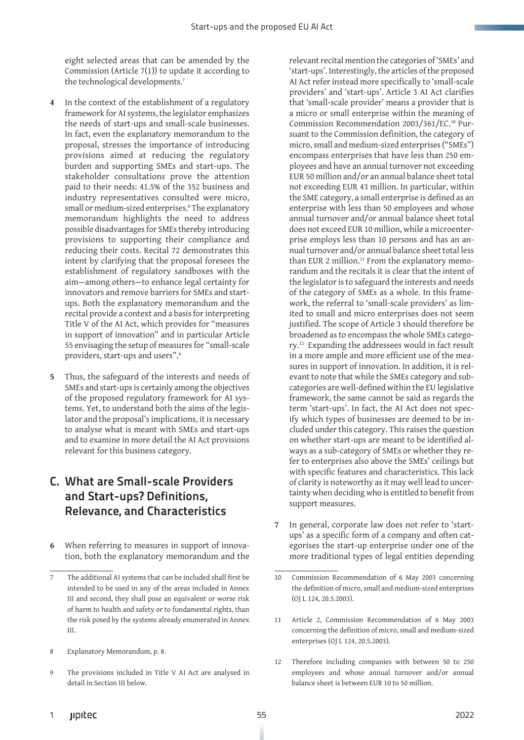eight selected areas that can be amended by the Commission (Article  $7(1)$ ) to update it according to the technological developments.<sup>7</sup>

- **4** In the context of the establishment of a regulatory framework for AI systems, the legislator emphasizes the needs of start-ups and small-scale businesses. In fact, even the explanatory memorandum to the proposal, stresses the importance of introducing provisions aimed at reducing the regulatory burden and supporting SMEs and start-ups. The stakeholder consultations prove the attention paid to their needs: 41.5% of the 352 business and industry representatives consulted were micro, small or medium-sized enterprises.8 The explanatory memorandum highlights the need to address possible disadvantages for SMEs thereby introducing provisions to supporting their compliance and reducing their costs. Recital 72 demonstrates this intent by clarifying that the proposal foresees the establishment of regulatory sandboxes with the aim—among others—to enhance legal certainty for innovators and remove barriers for SMEs and startups. Both the explanatory memorandum and the recital provide a context and a basis for interpreting Title V of the AI Act, which provides for "measures in support of innovation" and in particular Article 55 envisaging the setup of measures for "small-scale providers, start-ups and users".9
- **5** Thus, the safeguard of the interests and needs of SMEs and start-ups is certainly among the objectives of the proposed regulatory framework for AI systems. Yet, to understand both the aims of the legislator and the proposal's implications, it is necessary to analyse what is meant with SMEs and start-ups and to examine in more detail the AI Act provisions relevant for this business category.

### C. What are Small-scale Providers and Start-ups? Definitions, Relevance, and Characteristics

**6** When referring to measures in support of innovation, both the explanatory memorandum and the

- 8 Explanatory Memorandum, p. 8.
- 9 The provisions included in Title V AI Act are analysed in detail in Section III below.

relevant recital mention the categories of 'SMEs' and 'start-ups'. Interestingly, the articles of the proposed AI Act refer instead more specifically to 'small-scale providers' and 'start-ups'. Article 3 AI Act clarifies that 'small-scale provider' means a provider that is a micro or small enterprise within the meaning of Commission Recommendation 2003/361/EC.10 Pursuant to the Commission definition, the category of micro, small and medium-sized enterprises ("SMEs") encompass enterprises that have less than 250 employees and have an annual turnover not exceeding EUR 50 million and/or an annual balance sheet total not exceeding EUR 43 million. In particular, within the SME category, a small enterprise is defined as an enterprise with less than 50 employees and whose annual turnover and/or annual balance sheet total does not exceed EUR 10 million, while a microenterprise employs less than 10 persons and has an annual turnover and/or annual balance sheet total less than EUR 2 million.<sup>11</sup> From the explanatory memorandum and the recitals it is clear that the intent of the legislator is to safeguard the interests and needs of the category of SMEs as a whole. In this framework, the referral to 'small-scale providers' as limited to small and micro enterprises does not seem justified. The scope of Article 3 should therefore be broadened as to encompass the whole SMEs category.12 Expanding the addressees would in fact result in a more ample and more efficient use of the measures in support of innovation. In addition, it is relevant to note that while the SMEs category and subcategories are well-defined within the EU legislative framework, the same cannot be said as regards the term 'start-ups'. In fact, the AI Act does not specify which types of businesses are deemed to be included under this category. This raises the question on whether start-ups are meant to be identified always as a sub-category of SMEs or whether they refer to enterprises also above the SMEs' ceilings but with specific features and characteristics. This lack of clarity is noteworthy as it may well lead to uncertainty when deciding who is entitled to benefit from support measures.

**7** In general, corporate law does not refer to 'startups' as a specific form of a company and often categorises the start-up enterprise under one of the more traditional types of legal entities depending

- 11 Article 2, Commission Recommendation of 6 May 2003 concerning the definition of micro, small and medium-sized enterprises (OJ L 124, 20.5.2003).
- 12 Therefore including companies with between 50 to 250 employees and whose annual turnover and/or annual balance sheet is between EUR 10 to 50 million.

<sup>7</sup> The additional AI systems that can be included shall first be intended to be used in any of the areas included in Annex III and second, they shall pose an equivalent or worse risk of harm to health and safety or to fundamental rights, than the risk posed by the systems already enumerated in Annex III.

<sup>10</sup> Commission Recommendation of 6 May 2003 concerning the definition of micro, small and medium-sized enterprises (OJ L 124, 20.5.2003).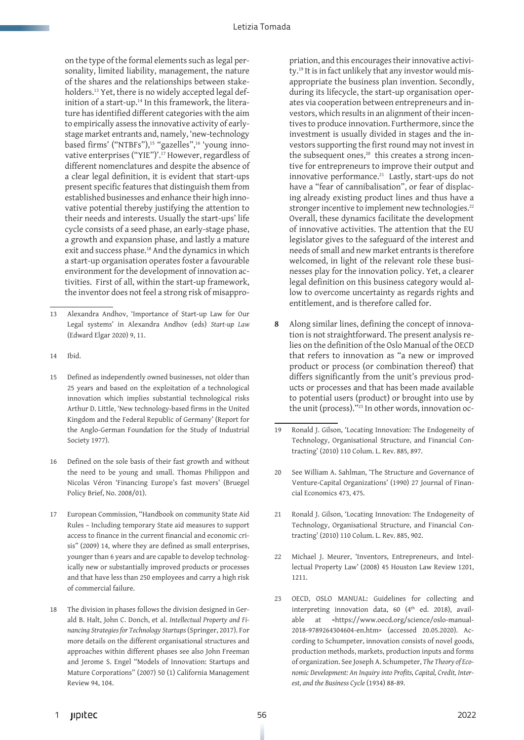on the type of the formal elements such as legal personality, limited liability, management, the nature of the shares and the relationships between stakeholders.<sup>13</sup> Yet, there is no widely accepted legal definition of a start-up.<sup>14</sup> In this framework, the literature has identified different categories with the aim to empirically assess the innovative activity of earlystage market entrants and, namely, 'new-technology based firms' ("NTBFs"),<sup>15</sup> "gazelles",<sup>16</sup> 'young innovative enterprises ("YIE")'.17 However, regardless of different nomenclatures and despite the absence of a clear legal definition, it is evident that start-ups present specific features that distinguish them from established businesses and enhance their high innovative potential thereby justifying the attention to their needs and interests. Usually the start-ups' life cycle consists of a seed phase, an early-stage phase, a growth and expansion phase, and lastly a mature exit and success phase.18 And the dynamics in which a start-up organisation operates foster a favourable environment for the development of innovation activities. First of all, within the start-up framework, the inventor does not feel a strong risk of misappro-

- 14 Ibid.
- 15 Defined as independently owned businesses, not older than 25 years and based on the exploitation of a technological innovation which implies substantial technological risks Arthur D. Little, 'New technology-based firms in the United Kingdom and the Federal Republic of Germany' (Report for the Anglo-German Foundation for the Study of Industrial Society 1977).
- 16 Defined on the sole basis of their fast growth and without the need to be young and small. Thomas Philippon and Nicolas Véron 'Financing Europe's fast movers' (Bruegel Policy Brief, No. 2008/01).
- 17 European Commission, "Handbook on community State Aid Rules – Including temporary State aid measures to support access to finance in the current financial and economic crisis" (2009) 14, where they are defined as small enterprises, younger than 6 years and are capable to develop technologically new or substantially improved products or processes and that have less than 250 employees and carry a high risk of commercial failure.
- The division in phases follows the division designed in Gerald B. Halt, John C. Donch, et al. *Intellectual Property and Financing Strategies for Technology Startups* (Springer, 2017). For more details on the different organisational structures and approaches within different phases see also John Freeman and Jerome S. Engel "Models of Innovation: Startups and Mature Corporations" (2007) 50 (1) California Management Review 94, 104.

priation, and this encourages their innovative activity.19 It is in fact unlikely that any investor would misappropriate the business plan invention. Secondly, during its lifecycle, the start-up organisation operates via cooperation between entrepreneurs and investors, which results in an alignment of their incentives to produce innovation. Furthermore, since the investment is usually divided in stages and the investors supporting the first round may not invest in the subsequent ones,<sup>20</sup> this creates a strong incentive for entrepreneurs to improve their output and innovative performance.<sup>21</sup> Lastly, start-ups do not have a "fear of cannibalisation", or fear of displacing already existing product lines and thus have a stronger incentive to implement new technologies.<sup>22</sup> Overall, these dynamics facilitate the development of innovative activities. The attention that the EU legislator gives to the safeguard of the interest and needs of small and new market entrants is therefore welcomed, in light of the relevant role these businesses play for the innovation policy. Yet, a clearer legal definition on this business category would allow to overcome uncertainty as regards rights and entitlement, and is therefore called for.

- **8** Along similar lines, defining the concept of innovation is not straightforward. The present analysis relies on the definition of the Oslo Manual of the OECD that refers to innovation as "a new or improved product or process (or combination thereof) that differs significantly from the unit's previous products or processes and that has been made available to potential users (product) or brought into use by the unit (process)."23 In other words, innovation oc-
- 19 Ronald J. Gilson, 'Locating Innovation: The Endogeneity of Technology, Organisational Structure, and Financial Contracting' (2010) 110 Colum. L. Rev*.* 885*,* 897.
- 20 See William A. Sahlman, 'The Structure and Governance of Venture-Capital Organizations' (1990) 27 Journal of Financial Economics 473, 475.
- 21 Ronald J. Gilson, 'Locating Innovation: The Endogeneity of Technology, Organisational Structure, and Financial Contracting' (2010) 110 Colum. L. Rev*.* 885, 902.
- 22 Michael J. Meurer, 'Inventors, Entrepreneurs, and Intellectual Property Law' (2008) 45 Houston Law Review 1201, 1211.
- 23 OECD, OSLO MANUAL: Guidelines for collecting and interpreting innovation data, 60 ( $4<sup>th</sup>$  ed. 2018), available at <https://www.oecd.org/science/oslo-manual-2018-9789264304604-en.htm> (accessed 20.05.2020). According to Schumpeter, innovation consists of novel goods, production methods, markets, production inputs and forms of organization. See Joseph A. Schumpeter, *The Theory of Economic Development: An Inquiry into Profits, Capital, Credit, Interest, and the Business Cycle* (1934) 88-89.

<sup>13</sup> Alexandra Andhov, 'Importance of Start-up Law for Our Legal systems' in Alexandra Andhov (eds) *Start-up Law*  (Edward Elgar 2020) 9, 11.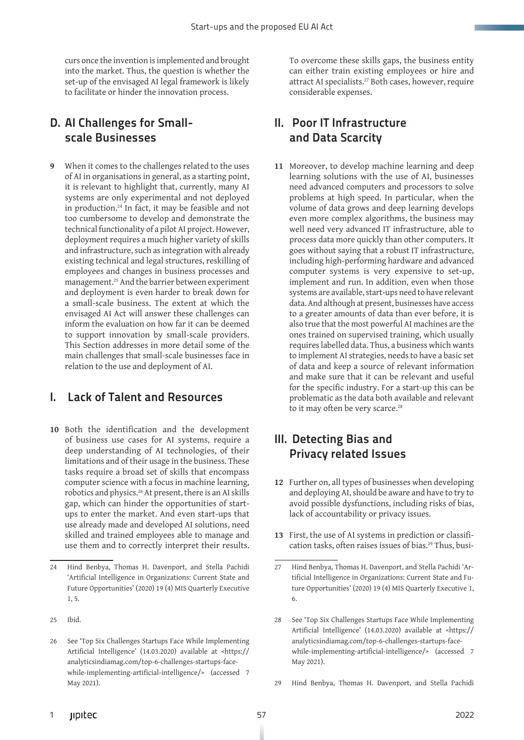curs once the invention is implemented and brought into the market. Thus, the question is whether the set-up of the envisaged AI legal framework is likely to facilitate or hinder the innovation process.

#### D. AI Challenges for Smallscale Businesses

**9** When it comes to the challenges related to the uses of AI in organisations in general, as a starting point, it is relevant to highlight that, currently, many AI systems are only experimental and not deployed in production.24 In fact, it may be feasible and not too cumbersome to develop and demonstrate the technical functionality of a pilot AI project. However, deployment requires a much higher variety of skills and infrastructure, such as integration with already existing technical and legal structures, reskilling of employees and changes in business processes and management.25 And the barrier between experiment and deployment is even harder to break down for a small-scale business. The extent at which the envisaged AI Act will answer these challenges can inform the evaluation on how far it can be deemed to support innovation by small-scale providers. This Section addresses in more detail some of the main challenges that small-scale businesses face in relation to the use and deployment of AI.

#### I. Lack of Talent and Resources

**10** Both the identification and the development of business use cases for AI systems, require a deep understanding of AI technologies, of their limitations and of their usage in the business. These tasks require a broad set of skills that encompass computer science with a focus in machine learning, robotics and physics.26 At present, there is an AI skills gap, which can hinder the opportunities of startups to enter the market. And even start-ups that use already made and developed AI solutions, need skilled and trained employees able to manage and use them and to correctly interpret their results. To overcome these skills gaps, the business entity can either train existing employees or hire and attract AI specialists.<sup>27</sup> Both cases, however, require considerable expenses.

#### II. Poor IT Infrastructure and Data Scarcity

**11** Moreover, to develop machine learning and deep learning solutions with the use of AI, businesses need advanced computers and processors to solve problems at high speed. In particular, when the volume of data grows and deep learning develops even more complex algorithms, the business may well need very advanced IT infrastructure, able to process data more quickly than other computers. It goes without saying that a robust IT infrastructure, including high-performing hardware and advanced computer systems is very expensive to set-up, implement and run. In addition, even when those systems are available, start-ups need to have relevant data. And although at present, businesses have access to a greater amounts of data than ever before, it is also true that the most powerful AI machines are the ones trained on supervised training, which usually requires labelled data. Thus, a business which wants to implement AI strategies, needs to have a basic set of data and keep a source of relevant information and make sure that it can be relevant and useful for the specific industry. For a start-up this can be problematic as the data both available and relevant to it may often be very scarce.<sup>28</sup>

#### III. Detecting Bias and Privacy related Issues

- **12** Further on, all types of businesses when developing and deploying AI, should be aware and have to try to avoid possible dysfunctions, including risks of bias, lack of accountability or privacy issues.
- **13** First, the use of AI systems in prediction or classification tasks, often raises issues of bias.<sup>29</sup> Thus, busi-

29 Hind Benbya, Thomas H. Davenport, and Stella Pachidi

Hind Benbya, Thomas H. Davenport, and Stella Pachidi 'Artificial Intelligence in Organizations: Current State and Future Opportunities' (2020) 19 (4) MIS Quarterly Executive 1, 5.

<sup>25</sup> Ibid.

<sup>26</sup> See 'Top Six Challenges Startups Face While Implementing Artificial Intelligence' (14.03.2020) available at <https:// analyticsindiamag.com/top-6-challenges-startups-facewhile-implementing-artificial-intelligence/> (accessed 7 May 2021).

<sup>27</sup> Hind Benbya, Thomas H. Davenport, and Stella Pachidi 'Artificial Intelligence in Organizations: Current State and Future Opportunities' (2020) 19 (4) MIS Quarterly Executive 1, 6.

<sup>28</sup> See 'Top Six Challenges Startups Face While Implementing Artificial Intelligence' (14.03.2020) available at <https:// analyticsindiamag.com/top-6-challenges-startups-facewhile-implementing-artificial-intelligence/> (accessed 7 May 2021).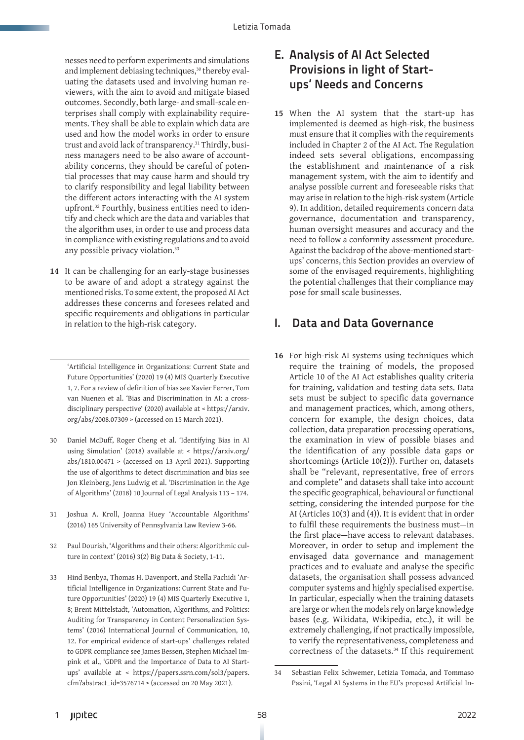nesses need to perform experiments and simulations and implement debiasing techniques,<sup>30</sup> thereby evaluating the datasets used and involving human reviewers, with the aim to avoid and mitigate biased outcomes. Secondly, both large- and small-scale enterprises shall comply with explainability requirements. They shall be able to explain which data are used and how the model works in order to ensure trust and avoid lack of transparency.<sup>31</sup> Thirdly, business managers need to be also aware of accountability concerns, they should be careful of potential processes that may cause harm and should try to clarify responsibility and legal liability between the different actors interacting with the AI system upfront.<sup>32</sup> Fourthly, business entities need to identify and check which are the data and variables that the algorithm uses, in order to use and process data in compliance with existing regulations and to avoid any possible privacy violation.<sup>33</sup>

**14** It can be challenging for an early-stage businesses to be aware of and adopt a strategy against the mentioned risks. To some extent, the proposed AI Act addresses these concerns and foresees related and specific requirements and obligations in particular in relation to the high-risk category.

'Artificial Intelligence in Organizations: Current State and Future Opportunities' (2020) 19 (4) MIS Quarterly Executive 1, 7. For a review of definition of bias see Xavier Ferrer, Tom van Nuenen et al. 'Bias and Discrimination in AI: a crossdisciplinary perspective' (2020) available at < https://arxiv. org/abs/2008.07309 > (accessed on 15 March 2021).

- 30 Daniel McDuff, Roger Cheng et al. 'Identifying Bias in AI using Simulation' (2018) available at < https://arxiv.org/ abs/1810.00471 > (accessed on 13 April 2021). Supporting the use of algorithms to detect discrimination and bias see Jon Kleinberg, Jens Ludwig et al. 'Discrimination in the Age of Algorithms' (2018) 10 Journal of Legal Analysis 113 – 174.
- 31 Joshua A. Kroll, Joanna Huey 'Accountable Algorithms' (2016) 165 University of Pennsylvania Law Review 3-66.
- 32 Paul Dourish, 'Algorithms and their others: Algorithmic culture in context' (2016) 3(2) Big Data & Society, 1-11.
- 33 Hind Benbya, Thomas H. Davenport, and Stella Pachidi 'Artificial Intelligence in Organizations: Current State and Future Opportunities' (2020) 19 (4) MIS Quarterly Executive 1, 8; Brent Mittelstadt, 'Automation, Algorithms, and Politics: Auditing for Transparency in Content Personalization Systems' (2016) International Journal of Communication, 10, 12. For empirical evidence of start-ups' challenges related to GDPR compliance see James Bessen, Stephen Michael Impink et al., 'GDPR and the Importance of Data to AI Startups' available at < https://papers.ssrn.com/sol3/papers. cfm?abstract\_id=3576714 > (accessed on 20 May 2021).

#### E. Analysis of AI Act Selected Provisions in light of Startups' Needs and Concerns

**15** When the AI system that the start-up has implemented is deemed as high-risk, the business must ensure that it complies with the requirements included in Chapter 2 of the AI Act. The Regulation indeed sets several obligations, encompassing the establishment and maintenance of a risk management system, with the aim to identify and analyse possible current and foreseeable risks that may arise in relation to the high-risk system (Article 9). In addition, detailed requirements concern data governance, documentation and transparency, human oversight measures and accuracy and the need to follow a conformity assessment procedure. Against the backdrop of the above-mentioned startups' concerns, this Section provides an overview of some of the envisaged requirements, highlighting the potential challenges that their compliance may pose for small scale businesses.

#### I. Data and Data Governance

**16** For high-risk AI systems using techniques which require the training of models, the proposed Article 10 of the AI Act establishes quality criteria for training, validation and testing data sets. Data sets must be subject to specific data governance and management practices, which, among others, concern for example, the design choices, data collection, data preparation processing operations, the examination in view of possible biases and the identification of any possible data gaps or shortcomings (Article 10(2))). Further on, datasets shall be "relevant, representative, free of errors and complete" and datasets shall take into account the specific geographical, behavioural or functional setting, considering the intended purpose for the AI (Articles 10(3) and (4)). It is evident that in order to fulfil these requirements the business must—in the first place—have access to relevant databases. Moreover, in order to setup and implement the envisaged data governance and management practices and to evaluate and analyse the specific datasets, the organisation shall possess advanced computer systems and highly specialised expertise. In particular, especially when the training datasets are large or when the models rely on large knowledge bases (e.g. Wikidata, Wikipedia, etc.), it will be extremely challenging, if not practically impossible, to verify the representativeness, completeness and correctness of the datasets.34 If this requirement

<sup>34</sup> Sebastian Felix Schwemer, Letizia Tomada, and Tommaso Pasini, 'Legal AI Systems in the EU's proposed Artificial In-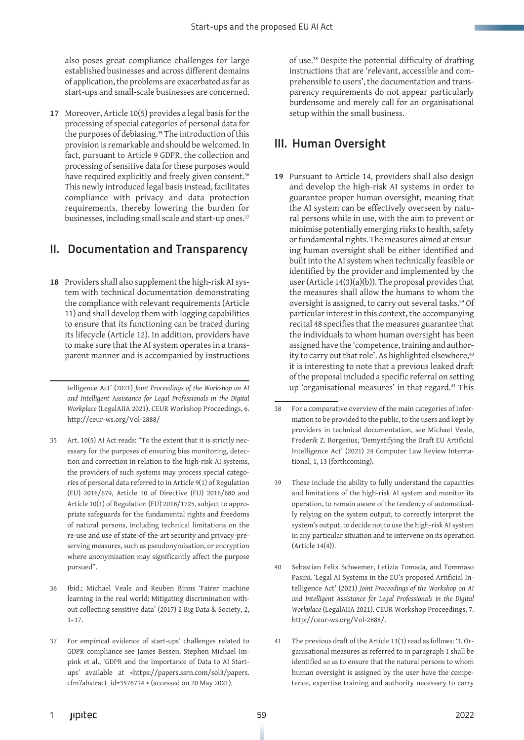also poses great compliance challenges for large established businesses and across different domains of application, the problems are exacerbated as far as start-ups and small-scale businesses are concerned.

**17** Moreover, Article 10(5) provides a legal basis for the processing of special categories of personal data for the purposes of debiasing.<sup>35</sup> The introduction of this provision is remarkable and should be welcomed. In fact, pursuant to Article 9 GDPR, the collection and processing of sensitive data for these purposes would have required explicitly and freely given consent.<sup>36</sup> This newly introduced legal basis instead, facilitates compliance with privacy and data protection requirements, thereby lowering the burden for businesses, including small scale and start-up ones.<sup>37</sup>

#### II. Documentation and Transparency

**18** Providers shall also supplement the high-risk AI system with technical documentation demonstrating the compliance with relevant requirements (Article 11) and shall develop them with logging capabilities to ensure that its functioning can be traced during its lifecycle (Article 12). In addition, providers have to make sure that the AI system operates in a transparent manner and is accompanied by instructions

telligence Act' (2021) *Joint Proceedings of the Workshop on AI and Intelligent Assistance for Legal Professionals in the Digital Workplace* (LegalAIIA 2021). CEUR Workshop Proceedings, 6. http://ceur-ws.org/Vol-2888/

- 35 Art. 10(5) AI Act reads: "To the extent that it is strictly necessary for the purposes of ensuring bias monitoring, detection and correction in relation to the high-risk AI systems, the providers of such systems may process special categories of personal data referred to in Article 9(1) of Regulation (EU) 2016/679, Article 10 of Directive (EU) 2016/680 and Article 10(1) of Regulation (EU) 2018/1725, subject to appropriate safeguards for the fundamental rights and freedoms of natural persons, including technical limitations on the re-use and use of state-of-the-art security and privacy-preserving measures, such as pseudonymisation, or encryption where anonymisation may significantly affect the purpose pursued".
- 36 Ibid.; Michael Veale and Reuben Binns 'Fairer machine learning in the real world: Mitigating discrimination without collecting sensitive data' (2017) 2 Big Data & Society, 2, 1–17.
- 37 For empirical evidence of start-ups' challenges related to GDPR compliance see James Bessen, Stephen Michael Impink et al., 'GDPR and the Importance of Data to AI Startups' available at <https://papers.ssrn.com/sol3/papers. cfm?abstract\_id=3576714 > (accessed on 20 May 2021).

of use.38 Despite the potential difficulty of drafting instructions that are 'relevant, accessible and comprehensible to users', the documentation and transparency requirements do not appear particularly burdensome and merely call for an organisational setup within the small business.

## III. Human Oversight

**19** Pursuant to Article 14, providers shall also design and develop the high-risk AI systems in order to guarantee proper human oversight, meaning that the AI system can be effectively overseen by natural persons while in use, with the aim to prevent or minimise potentially emerging risks to health, safety or fundamental rights. The measures aimed at ensuring human oversight shall be either identified and built into the AI system when technically feasible or identified by the provider and implemented by the user (Article 14(3)(a)(b)). The proposal provides that the measures shall allow the humans to whom the oversight is assigned, to carry out several tasks.39 Of particular interest in this context, the accompanying recital 48 specifies that the measures guarantee that the individuals to whom human oversight has been assigned have the 'competence, training and authority to carry out that role'. As highlighted elsewhere,<sup>40</sup> it is interesting to note that a previous leaked draft of the proposal included a specific referral on setting up 'organisational measures' in that regard.41 This

- 39 These include the ability to fully understand the capacities and limitations of the high-risk AI system and monitor its operation, to remain aware of the tendency of automatically relying on the system output, to correctly interpret the system's output, to decide not to use the high-risk AI system in any particular situation and to intervene on its operation (Article 14(4)).
- 40 Sebastian Felix Schwemer, Letizia Tomada, and Tommaso Pasini, 'Legal AI Systems in the EU's proposed Artificial Intelligence Act' (2021) *Joint Proceedings of the Workshop on AI and Intelligent Assistance for Legal Professionals in the Digital Workplace* (LegalAIIA 2021). CEUR Workshop Proceedings, 7. http://ceur-ws.org/Vol-2888/.
- 41 The previous draft of the Article 11(3) read as follows: '3. Organisational measures as referred to in paragraph 1 shall be identified so as to ensure that the natural persons to whom human oversight is assigned by the user have the competence, expertise training and authority necessary to carry

<sup>38</sup> For a comparative overview of the main categories of information to be provided to the public, to the users and kept by providers in technical documentation, see Michael Veale, Frederik Z. Borgesius, 'Demystifying the Draft EU Artificial Intelligence Act' (2021) 24 Computer Law Review International, 1, 13 (forthcoming).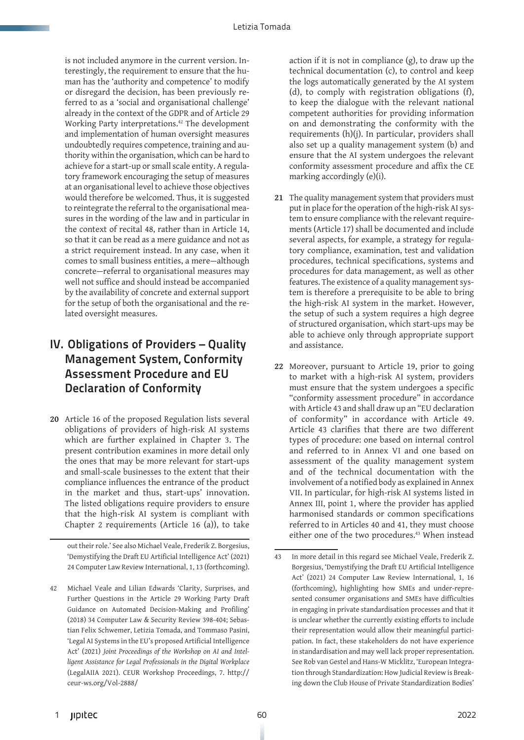is not included anymore in the current version. Interestingly, the requirement to ensure that the human has the 'authority and competence' to modify or disregard the decision, has been previously referred to as a 'social and organisational challenge' already in the context of the GDPR and of Article 29 Working Party interpretations.42 The development and implementation of human oversight measures undoubtedly requires competence, training and authority within the organisation, which can be hard to achieve for a start-up or small scale entity. A regulatory framework encouraging the setup of measures at an organisational level to achieve those objectives would therefore be welcomed. Thus, it is suggested to reintegrate the referral to the organisational measures in the wording of the law and in particular in the context of recital 48, rather than in Article 14, so that it can be read as a mere guidance and not as a strict requirement instead. In any case, when it comes to small business entities, a mere—although concrete—referral to organisational measures may well not suffice and should instead be accompanied by the availability of concrete and external support for the setup of both the organisational and the related oversight measures.

### IV. Obligations of Providers – Quality Management System, Conformity Assessment Procedure and EU Declaration of Conformity

**20** Article 16 of the proposed Regulation lists several obligations of providers of high-risk AI systems which are further explained in Chapter 3. The present contribution examines in more detail only the ones that may be more relevant for start-ups and small-scale businesses to the extent that their compliance influences the entrance of the product in the market and thus, start-ups' innovation. The listed obligations require providers to ensure that the high-risk AI system is compliant with Chapter 2 requirements (Article 16 (a)), to take

out their role.' See also Michael Veale, Frederik Z. Borgesius, 'Demystifying the Draft EU Artificial Intelligence Act' (2021) 24 Computer Law Review International, 1, 13 (forthcoming).

action if it is not in compliance (g), to draw up the technical documentation (c), to control and keep the logs automatically generated by the AI system (d), to comply with registration obligations (f), to keep the dialogue with the relevant national competent authorities for providing information on and demonstrating the conformity with the requirements (h)(j). In particular, providers shall also set up a quality management system (b) and ensure that the AI system undergoes the relevant conformity assessment procedure and affix the CE marking accordingly (e)(i).

- **21** The quality management system that providers must put in place for the operation of the high-risk AI system to ensure compliance with the relevant requirements (Article 17) shall be documented and include several aspects, for example, a strategy for regulatory compliance, examination, test and validation procedures, technical specifications, systems and procedures for data management, as well as other features. The existence of a quality management system is therefore a prerequisite to be able to bring the high-risk AI system in the market. However, the setup of such a system requires a high degree of structured organisation, which start-ups may be able to achieve only through appropriate support and assistance.
- **22** Moreover, pursuant to Article 19, prior to going to market with a high-risk AI system, providers must ensure that the system undergoes a specific "conformity assessment procedure" in accordance with Article 43 and shall draw up an "EU declaration of conformity" in accordance with Article 49. Article 43 clarifies that there are two different types of procedure: one based on internal control and referred to in Annex VI and one based on assessment of the quality management system and of the technical documentation with the involvement of a notified body as explained in Annex VII. In particular, for high-risk AI systems listed in Annex III, point 1, where the provider has applied harmonised standards or common specifications referred to in Articles 40 and 41, they must choose either one of the two procedures.<sup>43</sup> When instead

<sup>42</sup> Michael Veale and Lilian Edwards 'Clarity, Surprises, and Further Questions in the Article 29 Working Party Draft Guidance on Automated Decision-Making and Profiling' (2018) 34 Computer Law & Security Review 398-404; Sebastian Felix Schwemer, Letizia Tomada, and Tommaso Pasini, 'Legal AI Systems in the EU's proposed Artificial Intelligence Act' (2021) *Joint Proceedings of the Workshop on AI and Intelligent Assistance for Legal Professionals in the Digital Workplace* (LegalAIIA 2021). CEUR Workshop Proceedings, 7. http:// ceur-ws.org/Vol-2888/

<sup>43</sup> In more detail in this regard see Michael Veale, Frederik Z. Borgesius, 'Demystifying the Draft EU Artificial Intelligence Act' (2021) 24 Computer Law Review International, 1, 16 (forthcoming), highlighting how SMEs and under-represented consumer organisations and SMEs have difficulties in engaging in private standardisation processes and that it is unclear whether the currently existing efforts to include their representation would allow their meaningful participation. In fact, these stakeholders do not have experience in standardisation and may well lack proper representation. See Rob van Gestel and Hans-W Micklitz, 'European Integration through Standardization: How Judicial Review is Breaking down the Club House of Private Standardization Bodies'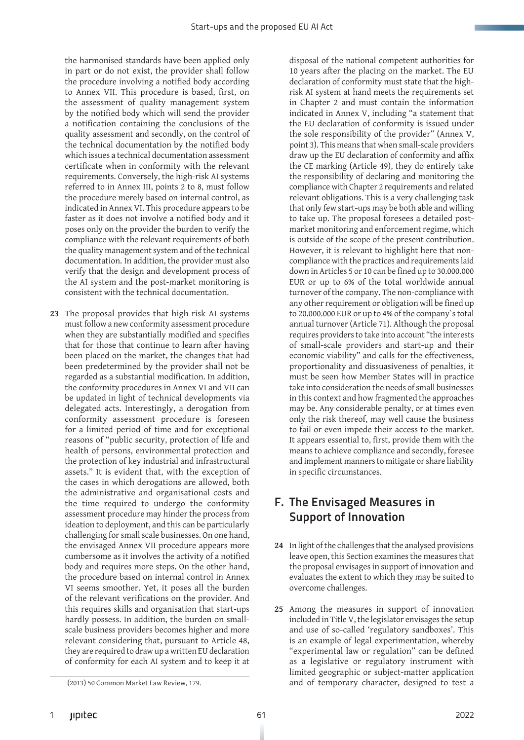the harmonised standards have been applied only in part or do not exist, the provider shall follow the procedure involving a notified body according to Annex VII. This procedure is based, first, on the assessment of quality management system by the notified body which will send the provider a notification containing the conclusions of the quality assessment and secondly, on the control of the technical documentation by the notified body which issues a technical documentation assessment certificate when in conformity with the relevant requirements. Conversely, the high-risk AI systems referred to in Annex III, points 2 to 8, must follow the procedure merely based on internal control, as indicated in Annex VI. This procedure appears to be faster as it does not involve a notified body and it poses only on the provider the burden to verify the compliance with the relevant requirements of both the quality management system and of the technical documentation. In addition, the provider must also verify that the design and development process of the AI system and the post-market monitoring is consistent with the technical documentation.

**23** The proposal provides that high-risk AI systems must follow a new conformity assessment procedure when they are substantially modified and specifies that for those that continue to learn after having been placed on the market, the changes that had been predetermined by the provider shall not be regarded as a substantial modification. In addition, the conformity procedures in Annex VI and VII can be updated in light of technical developments via delegated acts. Interestingly, a derogation from conformity assessment procedure is foreseen for a limited period of time and for exceptional reasons of "public security, protection of life and health of persons, environmental protection and the protection of key industrial and infrastructural assets." It is evident that, with the exception of the cases in which derogations are allowed, both the administrative and organisational costs and the time required to undergo the conformity assessment procedure may hinder the process from ideation to deployment, and this can be particularly challenging for small scale businesses. On one hand, the envisaged Annex VII procedure appears more cumbersome as it involves the activity of a notified body and requires more steps. On the other hand, the procedure based on internal control in Annex VI seems smoother. Yet, it poses all the burden of the relevant verifications on the provider. And this requires skills and organisation that start-ups hardly possess. In addition, the burden on smallscale business providers becomes higher and more relevant considering that, pursuant to Article 48, they are required to draw up a written EU declaration of conformity for each AI system and to keep it at

disposal of the national competent authorities for 10 years after the placing on the market. The EU declaration of conformity must state that the highrisk AI system at hand meets the requirements set in Chapter 2 and must contain the information indicated in Annex V, including "a statement that the EU declaration of conformity is issued under the sole responsibility of the provider" (Annex V, point 3). This means that when small-scale providers draw up the EU declaration of conformity and affix the CE marking (Article 49), they do entirely take the responsibility of declaring and monitoring the compliance with Chapter 2 requirements and related relevant obligations. This is a very challenging task that only few start-ups may be both able and willing to take up. The proposal foresees a detailed postmarket monitoring and enforcement regime, which is outside of the scope of the present contribution. However, it is relevant to highlight here that noncompliance with the practices and requirements laid down in Articles 5 or 10 can be fined up to 30.000.000 EUR or up to 6% of the total worldwide annual turnover of the company. The non-compliance with any other requirement or obligation will be fined up to 20.000.000 EUR or up to 4% of the company`s total annual turnover (Article 71). Although the proposal requires providers to take into account "the interests of small-scale providers and start-up and their economic viability" and calls for the effectiveness, proportionality and dissuasiveness of penalties, it must be seen how Member States will in practice take into consideration the needs of small businesses in this context and how fragmented the approaches may be. Any considerable penalty, or at times even only the risk thereof, may well cause the business to fail or even impede their access to the market. It appears essential to, first, provide them with the

means to achieve compliance and secondly, foresee and implement manners to mitigate or share liability in specific circumstances.

### F. The Envisaged Measures in Support of Innovation

- **24** In light of the challenges that the analysed provisions leave open, this Section examines the measures that the proposal envisages in support of innovation and evaluates the extent to which they may be suited to overcome challenges.
- **25** Among the measures in support of innovation included in Title V, the legislator envisages the setup and use of so-called 'regulatory sandboxes'. This is an example of legal experimentation, whereby "experimental law or regulation" can be defined as a legislative or regulatory instrument with limited geographic or subject-matter application and of temporary character, designed to test a

<sup>(2013) 50</sup> Common Market Law Review, 179.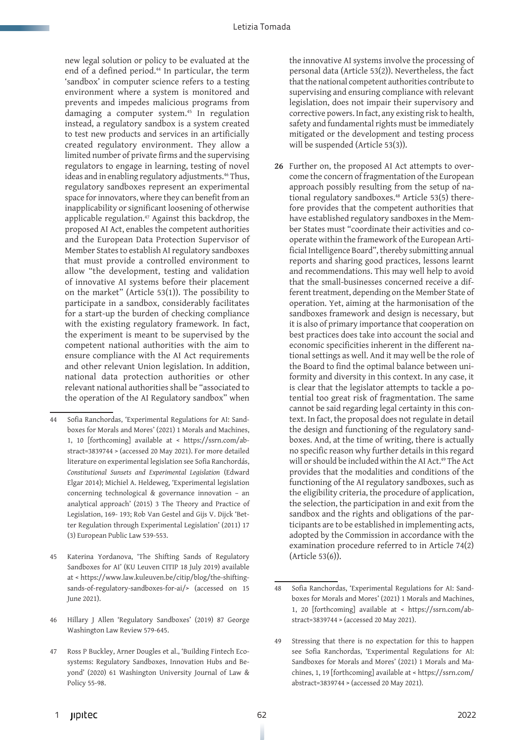new legal solution or policy to be evaluated at the end of a defined period.<sup>44</sup> In particular, the term 'sandbox' in computer science refers to a testing environment where a system is monitored and prevents and impedes malicious programs from damaging a computer system.45 In regulation instead, a regulatory sandbox is a system created to test new products and services in an artificially created regulatory environment. They allow a limited number of private firms and the supervising regulators to engage in learning, testing of novel ideas and in enabling regulatory adjustments.<sup>46</sup> Thus, regulatory sandboxes represent an experimental space for innovators, where they can benefit from an inapplicability or significant loosening of otherwise applicable regulation.<sup>47</sup> Against this backdrop, the proposed AI Act, enables the competent authorities and the European Data Protection Supervisor of Member States to establish AI regulatory sandboxes that must provide a controlled environment to allow "the development, testing and validation of innovative AI systems before their placement on the market" (Article 53(1)). The possibility to participate in a sandbox, considerably facilitates for a start-up the burden of checking compliance with the existing regulatory framework. In fact, the experiment is meant to be supervised by the competent national authorities with the aim to ensure compliance with the AI Act requirements and other relevant Union legislation. In addition, national data protection authorities or other relevant national authorities shall be "associated to the operation of the AI Regulatory sandbox" when

the innovative AI systems involve the processing of personal data (Article 53(2)). Nevertheless, the fact that the national competent authorities contribute to supervising and ensuring compliance with relevant legislation, does not impair their supervisory and corrective powers. In fact, any existing risk to health, safety and fundamental rights must be immediately mitigated or the development and testing process will be suspended (Article 53(3)).

**26** Further on, the proposed AI Act attempts to overcome the concern of fragmentation of the European approach possibly resulting from the setup of national regulatory sandboxes.<sup>48</sup> Article 53(5) therefore provides that the competent authorities that have established regulatory sandboxes in the Member States must "coordinate their activities and cooperate within the framework of the European Artificial Intelligence Board", thereby submitting annual reports and sharing good practices, lessons learnt and recommendations. This may well help to avoid that the small-businesses concerned receive a different treatment, depending on the Member State of operation. Yet, aiming at the harmonisation of the sandboxes framework and design is necessary, but it is also of primary importance that cooperation on best practices does take into account the social and economic specificities inherent in the different national settings as well. And it may well be the role of the Board to find the optimal balance between uniformity and diversity in this context. In any case, it is clear that the legislator attempts to tackle a potential too great risk of fragmentation. The same cannot be said regarding legal certainty in this context. In fact, the proposal does not regulate in detail the design and functioning of the regulatory sandboxes. And, at the time of writing, there is actually no specific reason why further details in this regard will or should be included within the AI Act.<sup>49</sup> The Act provides that the modalities and conditions of the functioning of the AI regulatory sandboxes, such as the eligibility criteria, the procedure of application, the selection, the participation in and exit from the sandbox and the rights and obligations of the participants are to be established in implementing acts, adopted by the Commission in accordance with the examination procedure referred to in Article 74(2) (Article 53(6)).

<sup>44</sup> Sofia Ranchordas, 'Experimental Regulations for AI: Sandboxes for Morals and Mores' (2021) 1 Morals and Machines, 1, 10 [forthcoming] available at < https://ssrn.com/abstract=3839744 > (accessed 20 May 2021). For more detailed literature on experimental legislation see Sofia Ranchordás, *Constitutional Sunsets and Experimental Legislation* (Edward Elgar 2014); Michiel A. Heldeweg, 'Experimental legislation concerning technological & governance innovation – an analytical approach' (2015) 3 The Theory and Practice of Legislation, 169- 193; Rob Van Gestel and Gijs V. Dijck 'Better Regulation through Experimental Legislation' (2011) 17 (3) European Public Law 539-553.

<sup>45</sup> Katerina Yordanova, 'The Shifting Sands of Regulatory Sandboxes for AI' (KU Leuven CITIP 18 July 2019) available at < https://www.law.kuleuven.be/citip/blog/the-shiftingsands-of-regulatory-sandboxes-for-ai/> (accessed on 15 June 2021).

<sup>46</sup> Hillary J Allen 'Regulatory Sandboxes' (2019) 87 George Washington Law Review 579-645.

<sup>47</sup> Ross P Buckley, Arner Dougles et al., 'Building Fintech Ecosystems: Regulatory Sandboxes, Innovation Hubs and Beyond' (2020) 61 Washington University Journal of Law & Policy 55-98.

<sup>48</sup> Sofia Ranchordas, 'Experimental Regulations for AI: Sandboxes for Morals and Mores' (2021) 1 Morals and Machines, 1, 20 [forthcoming] available at < https://ssrn.com/abstract=3839744 > (accessed 20 May 2021).

<sup>49</sup> Stressing that there is no expectation for this to happen see Sofia Ranchordas, 'Experimental Regulations for AI: Sandboxes for Morals and Mores' (2021) 1 Morals and Machines, 1, 19 [forthcoming] available at < https://ssrn.com/ abstract=3839744 > (accessed 20 May 2021).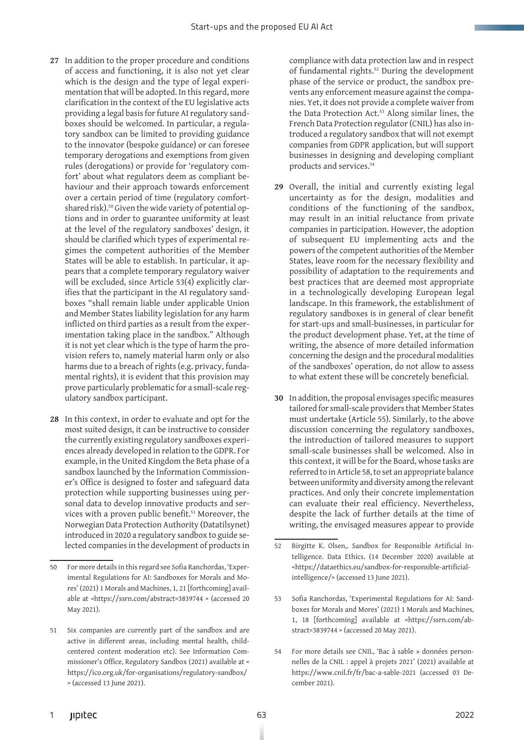- **27** In addition to the proper procedure and conditions of access and functioning, it is also not yet clear which is the design and the type of legal experimentation that will be adopted. In this regard, more clarification in the context of the EU legislative acts providing a legal basis for future AI regulatory sandboxes should be welcomed. In particular, a regulatory sandbox can be limited to providing guidance to the innovator (bespoke guidance) or can foresee temporary derogations and exemptions from given rules (derogations) or provide for 'regulatory comfort' about what regulators deem as compliant behaviour and their approach towards enforcement over a certain period of time (regulatory comfortshared risk).<sup>50</sup> Given the wide variety of potential options and in order to guarantee uniformity at least at the level of the regulatory sandboxes' design, it should be clarified which types of experimental regimes the competent authorities of the Member States will be able to establish. In particular, it appears that a complete temporary regulatory waiver will be excluded, since Article 53(4) explicitly clarifies that the participant in the AI regulatory sandboxes "shall remain liable under applicable Union and Member States liability legislation for any harm inflicted on third parties as a result from the experimentation taking place in the sandbox." Although it is not yet clear which is the type of harm the provision refers to, namely material harm only or also harms due to a breach of rights (e.g. privacy, fundamental rights), it is evident that this provision may prove particularly problematic for a small-scale regulatory sandbox participant.
- **28** In this context, in order to evaluate and opt for the most suited design, it can be instructive to consider the currently existing regulatory sandboxes experiences already developed in relation to the GDPR. For example, in the United Kingdom the Beta phase of a sandbox launched by the Information Commissioner's Office is designed to foster and safeguard data protection while supporting businesses using personal data to develop innovative products and services with a proven public benefit.<sup>51</sup> Moreover, the Norwegian Data Protection Authority (Datatilsynet) introduced in 2020 a regulatory sandbox to guide selected companies in the development of products in

compliance with data protection law and in respect of fundamental rights.52 During the development phase of the service or product, the sandbox prevents any enforcement measure against the companies. Yet, it does not provide a complete waiver from the Data Protection Act.<sup>53</sup> Along similar lines, the French Data Protection regulator (CNIL) has also introduced a regulatory sandbox that will not exempt companies from GDPR application, but will support businesses in designing and developing compliant products and services.54

- **29** Overall, the initial and currently existing legal uncertainty as for the design, modalities and conditions of the functioning of the sandbox, may result in an initial reluctance from private companies in participation. However, the adoption of subsequent EU implementing acts and the powers of the competent authorities of the Member States, leave room for the necessary flexibility and possibility of adaptation to the requirements and best practices that are deemed most appropriate in a technologically developing European legal landscape. In this framework, the establishment of regulatory sandboxes is in general of clear benefit for start-ups and small-businesses, in particular for the product development phase. Yet, at the time of writing, the absence of more detailed information concerning the design and the procedural modalities of the sandboxes' operation, do not allow to assess to what extent these will be concretely beneficial.
- **30** In addition, the proposal envisages specific measures tailored for small-scale providers that Member States must undertake (Article 55). Similarly, to the above discussion concerning the regulatory sandboxes, the introduction of tailored measures to support small-scale businesses shall be welcomed. Also in this context, it will be for the Board, whose tasks are referred to in Article 58, to set an appropriate balance between uniformity and diversity among the relevant practices. And only their concrete implementation can evaluate their real efficiency. Nevertheless, despite the lack of further details at the time of writing, the envisaged measures appear to provide

54 For more details see CNIL, 'Bac à sable » données personnelles de la CNIL : appel à projets 2021' (2021) available at https://www.cnil.fr/fr/bac-a-sable-2021 (accessed 03 December 2021).

<sup>50</sup> For more details in this regard see Sofia Ranchordas, 'Experimental Regulations for AI: Sandboxes for Morals and Mores' (2021) 1 Morals and Machines, 1, 21 [forthcoming] available at <https://ssrn.com/abstract=3839744 > (accessed 20 May 2021).

<sup>51</sup> Six companies are currently part of the sandbox and are active in different areas, including mental health, childcentered content moderation etc). See Information Commissioner's Office, Regulatory Sandbox (2021) available at < https://ico.org.uk/for-organisations/regulatory-sandbox/ > (accessed 13 June 2021).

<sup>52</sup> Birgitte K. Olsen,. Sandbox for Responsible Artificial Intelligence. Data Ethics. (14 December 2020) available at <https://dataethics.eu/sandbox-for-responsible-artificialintelligence/> (accessed 13 June 2021).

<sup>53</sup> Sofia Ranchordas, 'Experimental Regulations for AI: Sandboxes for Morals and Mores' (2021) 1 Morals and Machines, 1, 18 [forthcoming] available at <https://ssrn.com/abstract=3839744 > (accessed 20 May 2021).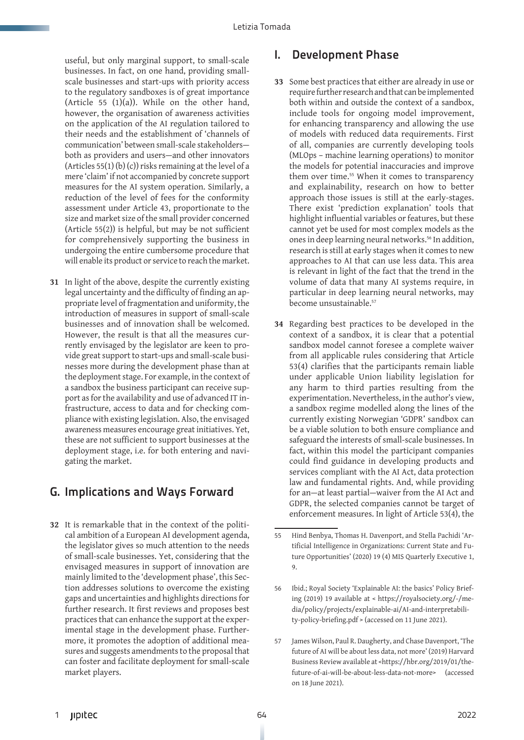useful, but only marginal support, to small-scale businesses. In fact, on one hand, providing smallscale businesses and start-ups with priority access to the regulatory sandboxes is of great importance (Article  $55$  (1)(a)). While on the other hand, however, the organisation of awareness activities on the application of the AI regulation tailored to their needs and the establishment of 'channels of communication' between small-scale stakeholders both as providers and users—and other innovators (Articles 55(1) (b) (c)) risks remaining at the level of a mere 'claim' if not accompanied by concrete support measures for the AI system operation. Similarly, a reduction of the level of fees for the conformity assessment under Article 43, proportionate to the size and market size of the small provider concerned (Article 55(2)) is helpful, but may be not sufficient for comprehensively supporting the business in undergoing the entire cumbersome procedure that will enable its product or service to reach the market.

**31** In light of the above, despite the currently existing legal uncertainty and the difficulty of finding an appropriate level of fragmentation and uniformity, the introduction of measures in support of small-scale businesses and of innovation shall be welcomed. However, the result is that all the measures currently envisaged by the legislator are keen to provide great support to start-ups and small-scale businesses more during the development phase than at the deployment stage. For example, in the context of a sandbox the business participant can receive support as for the availability and use of advanced IT infrastructure, access to data and for checking compliance with existing legislation. Also, the envisaged awareness measures encourage great initiatives. Yet, these are not sufficient to support businesses at the deployment stage, i.e. for both entering and navigating the market.

#### G. Implications and Ways Forward

**32** It is remarkable that in the context of the political ambition of a European AI development agenda, the legislator gives so much attention to the needs of small-scale businesses. Yet, considering that the envisaged measures in support of innovation are mainly limited to the 'development phase', this Section addresses solutions to overcome the existing gaps and uncertainties and highlights directions for further research. It first reviews and proposes best practices that can enhance the support at the experimental stage in the development phase. Furthermore, it promotes the adoption of additional measures and suggests amendments to the proposal that can foster and facilitate deployment for small-scale market players.

#### I. Development Phase

- **33** Some best practices that either are already in use or require further research and that can be implemented both within and outside the context of a sandbox, include tools for ongoing model improvement, for enhancing transparency and allowing the use of models with reduced data requirements. First of all, companies are currently developing tools (MLOps – machine learning operations) to monitor the models for potential inaccuracies and improve them over time.<sup>55</sup> When it comes to transparency and explainability, research on how to better approach those issues is still at the early-stages. There exist 'prediction explanation' tools that highlight influential variables or features, but these cannot yet be used for most complex models as the ones in deep learning neural networks.56 In addition, research is still at early stages when it comes to new approaches to AI that can use less data. This area is relevant in light of the fact that the trend in the volume of data that many AI systems require, in particular in deep learning neural networks, may become unsustainable.<sup>57</sup>
- **34** Regarding best practices to be developed in the context of a sandbox, it is clear that a potential sandbox model cannot foresee a complete waiver from all applicable rules considering that Article 53(4) clarifies that the participants remain liable under applicable Union liability legislation for any harm to third parties resulting from the experimentation. Nevertheless, in the author's view, a sandbox regime modelled along the lines of the currently existing Norwegian 'GDPR' sandbox can be a viable solution to both ensure compliance and safeguard the interests of small-scale businesses. In fact, within this model the participant companies could find guidance in developing products and services compliant with the AI Act, data protection law and fundamental rights. And, while providing for an—at least partial—waiver from the AI Act and GDPR, the selected companies cannot be target of enforcement measures. In light of Article 53(4), the

<sup>55</sup> Hind Benbya, Thomas H. Davenport, and Stella Pachidi 'Artificial Intelligence in Organizations: Current State and Future Opportunities' (2020) 19 (4) MIS Quarterly Executive 1, 9.

<sup>56</sup> Ibid.; Royal Society 'Explainable AI: the basics' Policy Briefing (2019) 19 available at < https://royalsociety.org/-/media/policy/projects/explainable-ai/AI-and-interpretability-policy-briefing.pdf > (accessed on 11 June 2021).

<sup>57</sup> James Wilson, Paul R. Daugherty, and Chase Davenport, 'The future of AI will be about less data, not more' (2019) Harvard Business Review available at <https://hbr.org/2019/01/thefuture-of-ai-will-be-about-less-data-not-more> (accessed on 18 June 2021).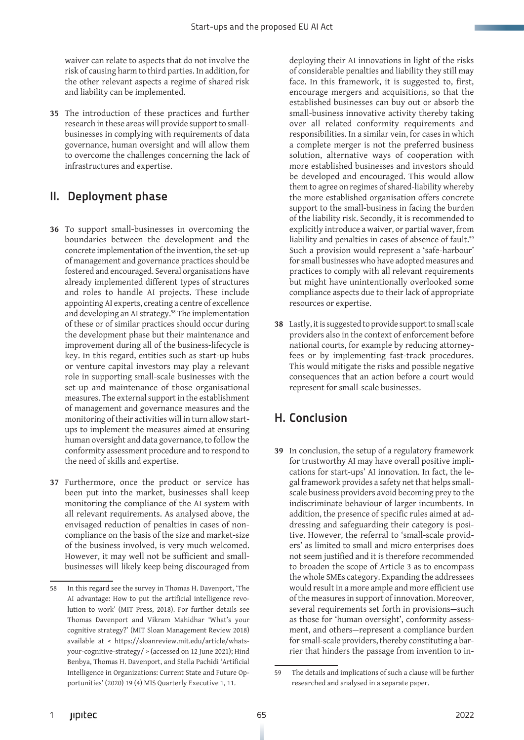waiver can relate to aspects that do not involve the risk of causing harm to third parties. In addition, for the other relevant aspects a regime of shared risk and liability can be implemented.

**35** The introduction of these practices and further research in these areas will provide support to smallbusinesses in complying with requirements of data governance, human oversight and will allow them to overcome the challenges concerning the lack of infrastructures and expertise.

### II. Deployment phase

- **36** To support small-businesses in overcoming the boundaries between the development and the concrete implementation of the invention, the set-up of management and governance practices should be fostered and encouraged. Several organisations have already implemented different types of structures and roles to handle AI projects. These include appointing AI experts, creating a centre of excellence and developing an AI strategy.58 The implementation of these or of similar practices should occur during the development phase but their maintenance and improvement during all of the business-lifecycle is key. In this regard, entities such as start-up hubs or venture capital investors may play a relevant role in supporting small-scale businesses with the set-up and maintenance of those organisational measures. The external support in the establishment of management and governance measures and the monitoring of their activities will in turn allow startups to implement the measures aimed at ensuring human oversight and data governance, to follow the conformity assessment procedure and to respond to the need of skills and expertise.
- **37** Furthermore, once the product or service has been put into the market, businesses shall keep monitoring the compliance of the AI system with all relevant requirements. As analysed above, the envisaged reduction of penalties in cases of noncompliance on the basis of the size and market-size of the business involved, is very much welcomed. However, it may well not be sufficient and smallbusinesses will likely keep being discouraged from

deploying their AI innovations in light of the risks of considerable penalties and liability they still may face. In this framework, it is suggested to, first, encourage mergers and acquisitions, so that the established businesses can buy out or absorb the small-business innovative activity thereby taking over all related conformity requirements and responsibilities. In a similar vein, for cases in which a complete merger is not the preferred business solution, alternative ways of cooperation with more established businesses and investors should be developed and encouraged. This would allow them to agree on regimes of shared-liability whereby the more established organisation offers concrete support to the small-business in facing the burden of the liability risk. Secondly, it is recommended to explicitly introduce a waiver, or partial waver, from liability and penalties in cases of absence of fault.<sup>59</sup> Such a provision would represent a 'safe-harbour' for small businesses who have adopted measures and practices to comply with all relevant requirements but might have unintentionally overlooked some compliance aspects due to their lack of appropriate resources or expertise.

**38** Lastly, it is suggested to provide support to small scale providers also in the context of enforcement before national courts, for example by reducing attorneyfees or by implementing fast-track procedures. This would mitigate the risks and possible negative consequences that an action before a court would represent for small-scale businesses.

## H. Conclusion

**39** In conclusion, the setup of a regulatory framework for trustworthy AI may have overall positive implications for start-ups' AI innovation. In fact, the legal framework provides a safety net that helps smallscale business providers avoid becoming prey to the indiscriminate behaviour of larger incumbents. In addition, the presence of specific rules aimed at addressing and safeguarding their category is positive. However, the referral to 'small-scale providers' as limited to small and micro enterprises does not seem justified and it is therefore recommended to broaden the scope of Article 3 as to encompass the whole SMEs category. Expanding the addressees would result in a more ample and more efficient use of the measures in support of innovation. Moreover, several requirements set forth in provisions—such as those for 'human oversight', conformity assessment, and others—represent a compliance burden for small-scale providers, thereby constituting a barrier that hinders the passage from invention to in-

<sup>58</sup> In this regard see the survey in Thomas H. Davenport, 'The AI advantage: How to put the artificial intelligence revolution to work' (MIT Press, 2018). For further details see Thomas Davenport and Vikram Mahidhar 'What's your cognitive strategy?' (MIT Sloan Management Review 2018) available at < https://sloanreview.mit.edu/article/whatsyour-cognitive-strategy/ > (accessed on 12 June 2021); Hind Benbya, Thomas H. Davenport, and Stella Pachidi 'Artificial Intelligence in Organizations: Current State and Future Opportunities' (2020) 19 (4) MIS Quarterly Executive 1, 11.

<sup>59</sup> The details and implications of such a clause will be further researched and analysed in a separate paper.